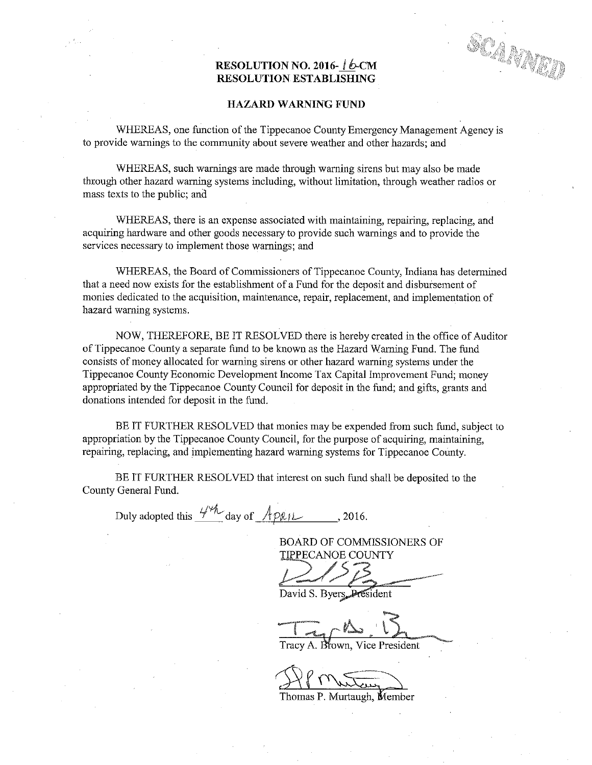## RESOLUTION NO. 2016-16-CM RESOLUTION. ESTABLISHING

SCAMMED

## HAZARD WARNING FUND

WHEREAS, one function of the Tippecanoe County Emergency Management Agency is to provide warnings to the community about severe weather and other hazards; and

WHEREAS, such warnings are made through warning sirens but may also be made through other hazard warning systems including, without limitation, through weather radios or mass texts to the public; and

WHEREAS, there is an expense associated with maintaining, repairing, replacing, and acquiring hardware and other goods necessary. to provide such warnings and to provide the services necessary to implement those warnings; and

WHEREAS, the Board of Commissioners of Tippecanoe County, Indiana has determined that <sup>a</sup> need now exists for the establishment of <sup>a</sup> Fund for the deposit and disbursement of monies dedicated to the acquisition, maintenance, repair, replacement, and implementation of hazard warning systems.

NOW, THEREFORE, BE IT RESOLVED there is hereby created in the office of Auditor of Tippecanoe County <sup>a</sup> separate fund to be known as the Hazard Warning Fund. The fund consists of money allocated for warning sirens orother hazard warning systems under the Tippecanoe County Economic Development Income Tax Capital improvement Fund; money appropriated by the Tippecanoe County Council for deposit in the fund; and gifts, grants and donations intended for deposit in the fund.

BE IT FURTHER RESOLVED that monies may be expended from such fund, subject to appropriation by the Tippecanoe County Council, for the purpose of acquiring, maintaining, repairing, replacing, and implementing hazard warning systems for Tippecanoe County.

BE IT FURTHER RESOLVED that interest on such fund shall be deposited to the County General Fund.

Duly adopted this  $4\frac{m}{\sqrt{2}}$  day of  $\frac{4p}{\sqrt{2}}$ , 2016.

. BOARD OF COMMISSIONERS OF TIPPECANOE COUNTY

David S. Byers, President

 $T = -45$ y 1990, and 1990, and 1990, and 1990, and 1990, and 1990, and 1990, and 1990, and 1990, and 1990, and 1990, an

Tracy A. Biown, Vice President

DP Mutay) Thomas P. Murtaugh, Member